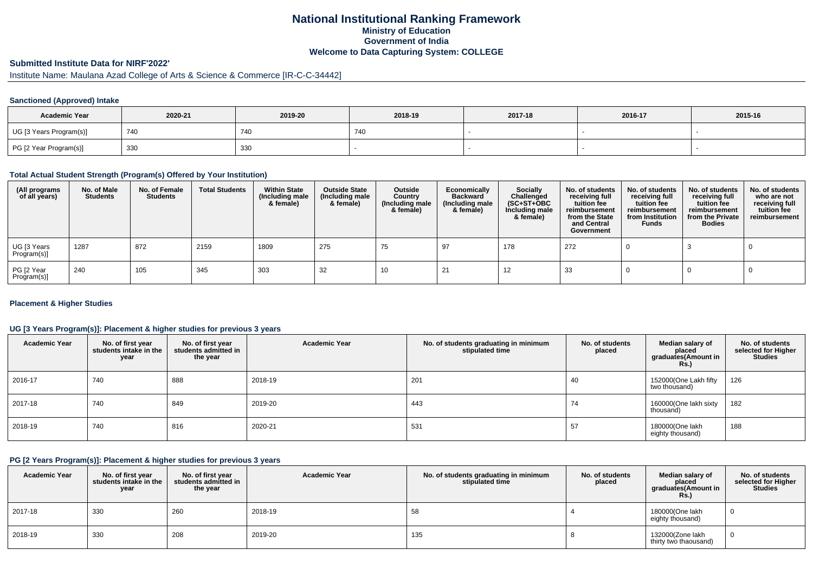# **National Institutional Ranking FrameworkMinistry of Education Government of IndiaWelcome to Data Capturing System: COLLEGE**

# **Submitted Institute Data for NIRF'2022'**

# Institute Name: Maulana Azad College of Arts & Science & Commerce [IR-C-C-34442]

### **Sanctioned (Approved) Intake**

| <b>Academic Year</b>    | 2020-21 | 2019-20 | 2018-19 | 2017-18 | 2016-17 | 2015-16 |
|-------------------------|---------|---------|---------|---------|---------|---------|
| UG [3 Years Program(s)] | 740     | 740     | 740     |         |         |         |
| PG [2 Year Program(s)]  | 330     | 330     |         |         |         |         |

#### **Total Actual Student Strength (Program(s) Offered by Your Institution)**

| (All programs<br>of all years) | No. of Male<br><b>Students</b> | No. of Female<br>Students | <b>Total Students</b> | <b>Within State</b><br>(Including male<br>& female) | <b>Outside State</b><br>(Including male<br>& female) | Outside<br>Country<br>(Including male<br>& female) | Economically<br><b>Backward</b><br>(Including male<br>& female) | <b>Socially</b><br>Challenged<br>$(SC+ST+OBC)$<br>Including male<br>& female) | No. of students<br>receiving full<br>tuition fee<br>reimbursement<br>from the State<br>and Central<br>Government | No. of students<br>receiving full<br>tuition fee<br>reimbursement<br>from Institution<br><b>Funds</b> | No. of students<br>receiving full<br>tuition fee<br>reimbursement<br>from the Private<br><b>Bodies</b> | No. of students<br>who are not<br>receiving full<br>tuition fee<br>reimbursement |
|--------------------------------|--------------------------------|---------------------------|-----------------------|-----------------------------------------------------|------------------------------------------------------|----------------------------------------------------|-----------------------------------------------------------------|-------------------------------------------------------------------------------|------------------------------------------------------------------------------------------------------------------|-------------------------------------------------------------------------------------------------------|--------------------------------------------------------------------------------------------------------|----------------------------------------------------------------------------------|
| UG [3 Years<br>Program(s)]     | 1287                           | 872                       | 2159                  | 1809                                                | 275                                                  | 75                                                 | 97                                                              | 178                                                                           | 272                                                                                                              |                                                                                                       |                                                                                                        |                                                                                  |
| PG [2 Year<br>Program(s)]      | 240                            | 105                       | 345                   | 303                                                 | 32                                                   | 10                                                 |                                                                 | 12                                                                            | 33                                                                                                               |                                                                                                       |                                                                                                        |                                                                                  |

### **Placement & Higher Studies**

### **UG [3 Years Program(s)]: Placement & higher studies for previous 3 years**

| <b>Academic Year</b> | No. of first year<br>students intake in the<br>year | No. of first year<br>students admitted in<br>the year | <b>Academic Year</b> | No. of students graduating in minimum<br>stipulated time | No. of students<br>placed | Median salary of<br>placed<br>graduates(Amount in<br><b>Rs.)</b> | No. of students<br>selected for Higher<br><b>Studies</b> |
|----------------------|-----------------------------------------------------|-------------------------------------------------------|----------------------|----------------------------------------------------------|---------------------------|------------------------------------------------------------------|----------------------------------------------------------|
| 2016-17              | 740                                                 | 888                                                   | 2018-19              | 201                                                      | 40                        | 152000(One Lakh fifty<br>two thousand)                           | 126                                                      |
| 2017-18              | 740                                                 | 849                                                   | 2019-20              | 443                                                      | 74                        | 160000(One lakh sixty<br>thousand)                               | 182                                                      |
| 2018-19              | 740                                                 | 816                                                   | 2020-21              | 531                                                      | 57                        | 180000(One lakh<br>eighty thousand)                              | 188                                                      |

#### **PG [2 Years Program(s)]: Placement & higher studies for previous 3 years**

| <b>Academic Year</b> | No. of first year<br>students intake in the<br>year | No. of first vear<br>students admitted in<br>the year | <b>Academic Year</b> | No. of students graduating in minimum<br>stipulated time | No. of students<br>placed | Median salary of<br>placed<br>graduates(Amount in<br><b>Rs.)</b> | No. of students<br>selected for Higher<br><b>Studies</b> |
|----------------------|-----------------------------------------------------|-------------------------------------------------------|----------------------|----------------------------------------------------------|---------------------------|------------------------------------------------------------------|----------------------------------------------------------|
| 2017-18              | 330                                                 | 260                                                   | 2018-19              | 58                                                       |                           | 180000(One lakh<br>eighty thousand)                              |                                                          |
| 2018-19              | 330                                                 | 208                                                   | 2019-20              | 135                                                      |                           | 132000(Zone lakh<br>thirty two thaousand)                        |                                                          |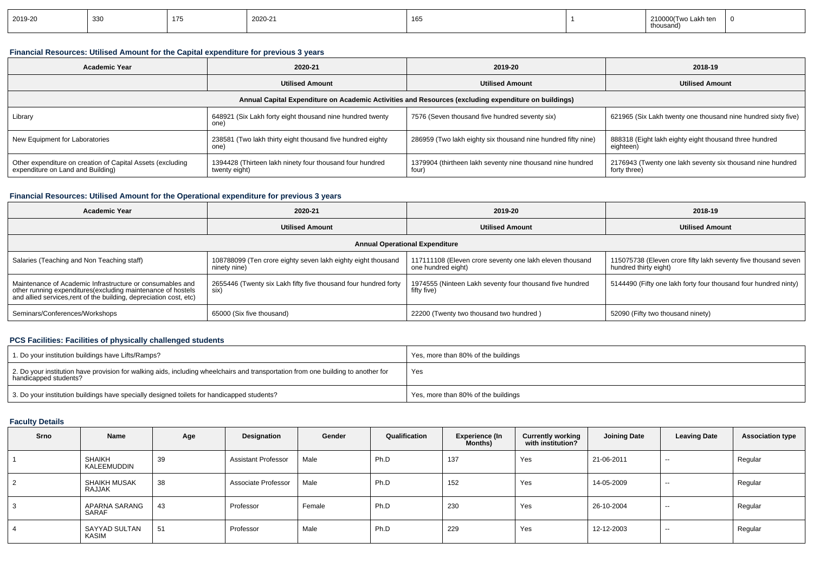| 2019-20 | 330 | 175 | 2020-21 | 165 |  | ∵akh tei.<br>thousand) |  |
|---------|-----|-----|---------|-----|--|------------------------|--|
|---------|-----|-----|---------|-----|--|------------------------|--|

### **Financial Resources: Utilised Amount for the Capital expenditure for previous 3 years**

| <b>Academic Year</b>                                                                            | 2020-21                                                                        |                                                                                                      | 2018-19                                                                    |  |
|-------------------------------------------------------------------------------------------------|--------------------------------------------------------------------------------|------------------------------------------------------------------------------------------------------|----------------------------------------------------------------------------|--|
|                                                                                                 | <b>Utilised Amount</b>                                                         | <b>Utilised Amount</b>                                                                               | <b>Utilised Amount</b>                                                     |  |
|                                                                                                 |                                                                                | Annual Capital Expenditure on Academic Activities and Resources (excluding expenditure on buildings) |                                                                            |  |
| Library                                                                                         | 648921 (Six Lakh forty eight thousand nine hundred twenty<br>one <sup>'</sup>  | 7576 (Seven thousand five hundred seventy six)                                                       | 621965 (Six Lakh twenty one thousand nine hundred sixty five)              |  |
| New Equipment for Laboratories                                                                  | 238581 (Two lakh thirty eight thousand five hundred eighty<br>one <sup>'</sup> | 286959 (Two lakh eighty six thousand nine hundred fifty nine)                                        | 888318 (Eight lakh eighty eight thousand three hundred<br>eighteen)        |  |
| Other expenditure on creation of Capital Assets (excluding<br>expenditure on Land and Building) | 1394428 (Thirteen lakh ninety four thousand four hundred<br>twenty eight)      | 1379904 (thirtheen lakh seventy nine thousand nine hundred<br>four)                                  | 2176943 (Twenty one lakh seventy six thousand nine hundred<br>forty three) |  |

### **Financial Resources: Utilised Amount for the Operational expenditure for previous 3 years**

| <b>Academic Year</b>                                                                                                                                                                            | 2020-21                                                                      |                                                                                | 2018-19                                                                                 |  |  |  |  |  |
|-------------------------------------------------------------------------------------------------------------------------------------------------------------------------------------------------|------------------------------------------------------------------------------|--------------------------------------------------------------------------------|-----------------------------------------------------------------------------------------|--|--|--|--|--|
|                                                                                                                                                                                                 | <b>Utilised Amount</b>                                                       | <b>Utilised Amount</b>                                                         | <b>Utilised Amount</b>                                                                  |  |  |  |  |  |
| <b>Annual Operational Expenditure</b>                                                                                                                                                           |                                                                              |                                                                                |                                                                                         |  |  |  |  |  |
| Salaries (Teaching and Non Teaching staff)                                                                                                                                                      | 108788099 (Ten crore eighty seven lakh eighty eight thousand<br>ninety nine) | 117111108 (Eleven crore seventy one lakh eleven thousand<br>one hundred eight) | 115075738 (Eleven crore fifty lakh seventy five thousand seven<br>hundred thirty eight) |  |  |  |  |  |
| Maintenance of Academic Infrastructure or consumables and<br>other running expenditures (excluding maintenance of hostels<br>and allied services, rent of the building, depreciation cost, etc) | 2655446 (Twenty six Lakh fifty five thousand four hundred forty<br>six)      | 1974555 (Ninteen Lakh seventy four thousand five hundred<br>fifty five)        | 5144490 (Fifty one lakh forty four thousand four hundred ninty)                         |  |  |  |  |  |
| Seminars/Conferences/Workshops                                                                                                                                                                  | 65000 (Six five thousand)                                                    | 22200 (Twenty two thousand two hundred)                                        | 52090 (Fifty two thousand ninety)                                                       |  |  |  |  |  |

## **PCS Facilities: Facilities of physically challenged students**

| 1. Do your institution buildings have Lifts/Ramps?                                                                                                         | Yes, more than 80% of the buildings |
|------------------------------------------------------------------------------------------------------------------------------------------------------------|-------------------------------------|
| 2. Do your institution have provision for walking aids, including wheelchairs and transportation from one building to another for<br>handicapped students? | Yes                                 |
| 3. Do your institution buildings have specially designed toilets for handicapped students?                                                                 | Yes, more than 80% of the buildings |

## **Faculty Details**

| Srno | Name                   | Age | Designation                | Gender | Qualification | <b>Experience (In</b><br>Months) | <b>Currently working</b><br>with institution? | Joining Date | <b>Leaving Date</b> | <b>Association type</b> |
|------|------------------------|-----|----------------------------|--------|---------------|----------------------------------|-----------------------------------------------|--------------|---------------------|-------------------------|
|      | SHAIKH<br>KALEEMUDDIN  | 39  | <b>Assistant Professor</b> | Male   | Ph.D          | 137                              | Yes                                           | 21-06-2011   | $\sim$              | Regular                 |
| 2    | SHAIKH MUSAK<br>RAJJAK | 38  | Associate Professor        | Male   | Ph.D          | 152                              | Yes                                           | 14-05-2009   | $-$                 | Regular                 |
| 3    | APARNA SARANG<br>SARAF | 43  | Professor                  | Female | Ph.D          | 230                              | Yes                                           | 26-10-2004   | $-$                 | Regular                 |
| 4    | SAYYAD SULTAN<br>KASIM | 51  | Professor                  | Male   | Ph.D          | 229                              | Yes                                           | 12-12-2003   | $-$                 | Regular                 |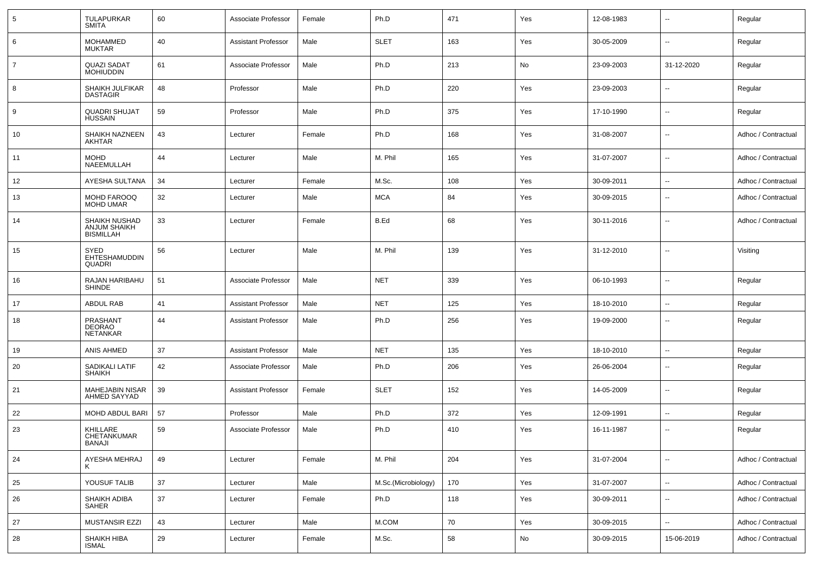| 5              | TULAPURKAR<br><b>SMITA</b>                        | 60 | Associate Professor        | Female | Ph.D                | 471 | Yes | 12-08-1983 | ۰.                       | Regular             |
|----------------|---------------------------------------------------|----|----------------------------|--------|---------------------|-----|-----|------------|--------------------------|---------------------|
| 6              | <b>MOHAMMED</b><br><b>MUKTAR</b>                  | 40 | <b>Assistant Professor</b> | Male   | <b>SLET</b>         | 163 | Yes | 30-05-2009 | $\overline{a}$           | Regular             |
| $\overline{7}$ | <b>QUAZI SADAT</b><br><b>MOHIUDDIN</b>            | 61 | Associate Professor        | Male   | Ph.D                | 213 | No  | 23-09-2003 | 31-12-2020               | Regular             |
| 8              | SHAIKH JULFIKAR<br><b>DASTAGIR</b>                | 48 | Professor                  | Male   | Ph.D                | 220 | Yes | 23-09-2003 | $\overline{a}$           | Regular             |
| 9              | <b>QUADRI SHUJAT</b><br><b>HUSSAIN</b>            | 59 | Professor                  | Male   | Ph.D                | 375 | Yes | 17-10-1990 | ۰.                       | Regular             |
| 10             | SHAIKH NAZNEEN<br><b>AKHTAR</b>                   | 43 | Lecturer                   | Female | Ph.D                | 168 | Yes | 31-08-2007 | $\overline{\phantom{a}}$ | Adhoc / Contractual |
| 11             | <b>MOHD</b><br>NAEEMULLAH                         | 44 | Lecturer                   | Male   | M. Phil             | 165 | Yes | 31-07-2007 | $\overline{\phantom{a}}$ | Adhoc / Contractual |
| 12             | AYESHA SULTANA                                    | 34 | Lecturer                   | Female | M.Sc.               | 108 | Yes | 30-09-2011 | --                       | Adhoc / Contractual |
| 13             | MOHD FAROOQ<br><b>MOHD UMAR</b>                   | 32 | Lecturer                   | Male   | <b>MCA</b>          | 84  | Yes | 30-09-2015 | $\overline{\phantom{a}}$ | Adhoc / Contractual |
| 14             | SHAIKH NUSHAD<br>ANJUM SHAIKH<br><b>BISMILLAH</b> | 33 | Lecturer                   | Female | B.Ed                | 68  | Yes | 30-11-2016 | ۰.                       | Adhoc / Contractual |
| 15             | SYED<br>EHTESHAMUDDIN<br><b>QUADRI</b>            | 56 | Lecturer                   | Male   | M. Phil             | 139 | Yes | 31-12-2010 | ۰.                       | Visiting            |
| 16             | <b>RAJAN HARIBAHU</b><br><b>SHINDE</b>            | 51 | Associate Professor        | Male   | <b>NET</b>          | 339 | Yes | 06-10-1993 | $\overline{\phantom{a}}$ | Regular             |
| 17             | ABDUL RAB                                         | 41 | <b>Assistant Professor</b> | Male   | <b>NET</b>          | 125 | Yes | 18-10-2010 | u.                       | Regular             |
| 18             | PRASHANT<br>DEORAO<br><b>NETANKAR</b>             | 44 | <b>Assistant Professor</b> | Male   | Ph.D                | 256 | Yes | 19-09-2000 | ۰.                       | Regular             |
| 19             | ANIS AHMED                                        | 37 | <b>Assistant Professor</b> | Male   | <b>NET</b>          | 135 | Yes | 18-10-2010 | $\overline{\phantom{a}}$ | Regular             |
| 20             | SADIKALI LATIF<br><b>SHAIKH</b>                   | 42 | Associate Professor        | Male   | Ph.D                | 206 | Yes | 26-06-2004 | ۰.                       | Regular             |
| 21             | MAHEJABIN NISAR<br>AHMED SAYYAD                   | 39 | <b>Assistant Professor</b> | Female | <b>SLET</b>         | 152 | Yes | 14-05-2009 | ۰.                       | Regular             |
| 22             | MOHD ABDUL BARI                                   | 57 | Professor                  | Male   | Ph.D                | 372 | Yes | 12-09-1991 | $\overline{\phantom{a}}$ | Regular             |
| 23             | KHILLARE<br>CHETANKUMAR<br><b>BANAJI</b>          | 59 | Associate Professor        | Male   | Ph.D                | 410 | Yes | 16-11-1987 | --                       | Regular             |
| 24             | AYESHA MEHRAJ<br>ĸ                                | 49 | Lecturer                   | Female | M. Phil             | 204 | Yes | 31-07-2004 | Ξ.                       | Adhoc / Contractual |
| 25             | YOUSUF TALIB                                      | 37 | Lecturer                   | Male   | M.Sc.(Microbiology) | 170 | Yes | 31-07-2007 | $\sim$                   | Adhoc / Contractual |
| 26             | SHAIKH ADIBA<br><b>SAHER</b>                      | 37 | Lecturer                   | Female | Ph.D                | 118 | Yes | 30-09-2011 | $\overline{\phantom{a}}$ | Adhoc / Contractual |
| 27             | <b>MUSTANSIR EZZI</b>                             | 43 | Lecturer                   | Male   | M.COM               | 70  | Yes | 30-09-2015 | Ξ.                       | Adhoc / Contractual |
| 28             | SHAIKH HIBA<br><b>ISMAL</b>                       | 29 | Lecturer                   | Female | M.Sc.               | 58  | No  | 30-09-2015 | 15-06-2019               | Adhoc / Contractual |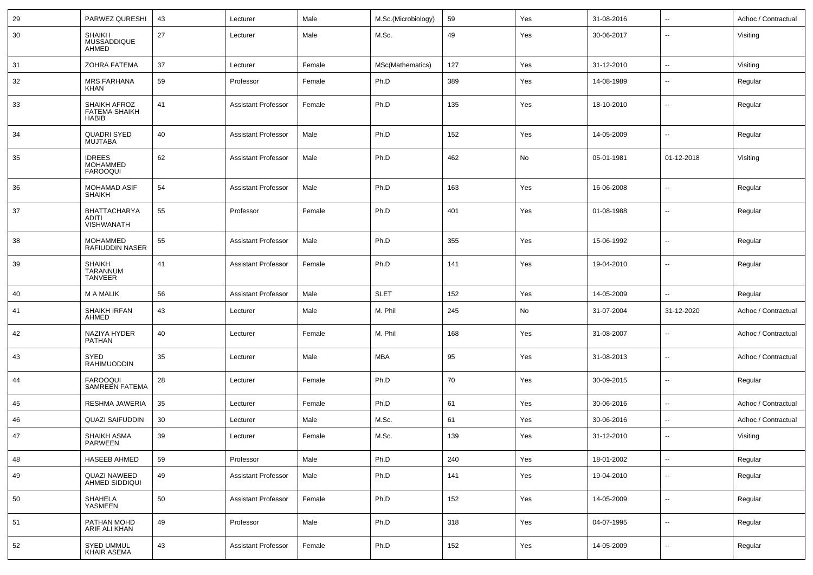| 29 | PARWEZ QURESHI                                       | 43 | Lecturer                   | Male   | M.Sc.(Microbiology) | 59  | Yes | 31-08-2016 | $\overline{\phantom{a}}$ | Adhoc / Contractual |
|----|------------------------------------------------------|----|----------------------------|--------|---------------------|-----|-----|------------|--------------------------|---------------------|
| 30 | SHAIKH<br>MUSSADDIQUE<br>AHMED                       | 27 | Lecturer                   | Male   | M.Sc.               | 49  | Yes | 30-06-2017 | --                       | Visiting            |
| 31 | <b>ZOHRA FATEMA</b>                                  | 37 | Lecturer                   | Female | MSc(Mathematics)    | 127 | Yes | 31-12-2010 | ⊷.                       | Visiting            |
| 32 | <b>MRS FARHANA</b><br><b>KHAN</b>                    | 59 | Professor                  | Female | Ph.D                | 389 | Yes | 14-08-1989 | --                       | Regular             |
| 33 | SHAIKH AFROZ<br><b>FATEMA SHAIKH</b><br><b>HABIB</b> | 41 | <b>Assistant Professor</b> | Female | Ph.D                | 135 | Yes | 18-10-2010 | --                       | Regular             |
| 34 | <b>QUADRI SYED</b><br><b>MUJTABA</b>                 | 40 | <b>Assistant Professor</b> | Male   | Ph.D                | 152 | Yes | 14-05-2009 | ⊷.                       | Regular             |
| 35 | <b>IDREES</b><br><b>MOHAMMED</b><br><b>FAROOQUI</b>  | 62 | <b>Assistant Professor</b> | Male   | Ph.D                | 462 | No  | 05-01-1981 | 01-12-2018               | Visiting            |
| 36 | <b>MOHAMAD ASIF</b><br><b>SHAIKH</b>                 | 54 | <b>Assistant Professor</b> | Male   | Ph.D                | 163 | Yes | 16-06-2008 | $\overline{\phantom{a}}$ | Regular             |
| 37 | <b>BHATTACHARYA</b><br>ADITI<br>VISHWANATH           | 55 | Professor                  | Female | Ph.D                | 401 | Yes | 01-08-1988 | -−                       | Regular             |
| 38 | <b>MOHAMMED</b><br>RAFIUDDIN NASER                   | 55 | <b>Assistant Professor</b> | Male   | Ph.D                | 355 | Yes | 15-06-1992 | ۵.                       | Regular             |
| 39 | <b>SHAIKH</b><br>TARANNUM<br><b>TANVEER</b>          | 41 | <b>Assistant Professor</b> | Female | Ph.D                | 141 | Yes | 19-04-2010 | --                       | Regular             |
| 40 | <b>M A MALIK</b>                                     | 56 | <b>Assistant Professor</b> | Male   | <b>SLET</b>         | 152 | Yes | 14-05-2009 | --                       | Regular             |
| 41 | SHAIKH IRFAN<br>AHMED                                | 43 | Lecturer                   | Male   | M. Phil             | 245 | No  | 31-07-2004 | 31-12-2020               | Adhoc / Contractual |
| 42 | NAZIYA HYDER<br>PATHAN                               | 40 | Lecturer                   | Female | M. Phil             | 168 | Yes | 31-08-2007 | --                       | Adhoc / Contractual |
| 43 | SYED<br>RAHIMUODDIN                                  | 35 | Lecturer                   | Male   | MBA                 | 95  | Yes | 31-08-2013 | --                       | Adhoc / Contractual |
| 44 | <b>FAROOQUI</b><br><b>SAMREEN FATEMA</b>             | 28 | Lecturer                   | Female | Ph.D                | 70  | Yes | 30-09-2015 | -−                       | Regular             |
| 45 | RESHMA JAWERIA                                       | 35 | Lecturer                   | Female | Ph.D                | 61  | Yes | 30-06-2016 | --                       | Adhoc / Contractual |
| 46 | <b>QUAZI SAIFUDDIN</b>                               | 30 | Lecturer                   | Male   | M.Sc.               | 61  | Yes | 30-06-2016 | ⊷.                       | Adhoc / Contractual |
| 47 | SHAIKH ASMA<br>PARWEEN                               | 39 | Lecturer                   | Female | M.Sc.               | 139 | Yes | 31-12-2010 | Ξ.                       | Visiting            |
| 48 | <b>HASEEB AHMED</b>                                  | 59 | Professor                  | Male   | Ph.D                | 240 | Yes | 18-01-2002 | $\overline{\phantom{a}}$ | Regular             |
| 49 | QUAZI NAWEED<br>AHMED SIDDIQUI                       | 49 | <b>Assistant Professor</b> | Male   | Ph.D                | 141 | Yes | 19-04-2010 | $\overline{\phantom{a}}$ | Regular             |
| 50 | SHAHELA<br>YASMEEN                                   | 50 | <b>Assistant Professor</b> | Female | Ph.D                | 152 | Yes | 14-05-2009 | Щ,                       | Regular             |
| 51 | PATHAN MOHD<br>ARIF ALI KHAN                         | 49 | Professor                  | Male   | Ph.D                | 318 | Yes | 04-07-1995 | $\overline{\phantom{a}}$ | Regular             |
| 52 | <b>SYED UMMUL</b><br><b>KHAIR ASEMA</b>              | 43 | <b>Assistant Professor</b> | Female | Ph.D                | 152 | Yes | 14-05-2009 | $\overline{\phantom{a}}$ | Regular             |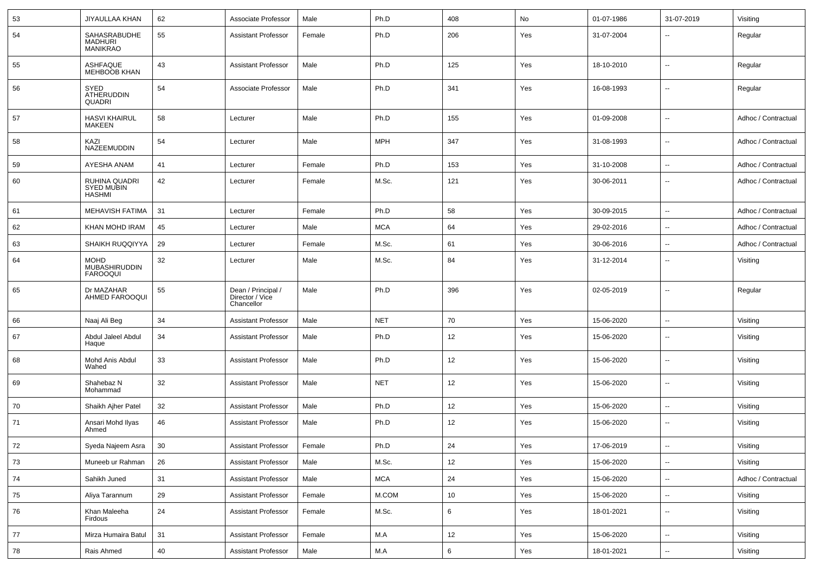| 53     | JIYAULLAA KHAN                                      | 62     | Associate Professor                                 | Male   | Ph.D       | 408     | No  | 01-07-1986 | 31-07-2019               | Visiting            |
|--------|-----------------------------------------------------|--------|-----------------------------------------------------|--------|------------|---------|-----|------------|--------------------------|---------------------|
| 54     | SAHASRABUDHE<br><b>MADHURI</b><br><b>MANIKRAO</b>   | 55     | <b>Assistant Professor</b>                          | Female | Ph.D       | 206     | Yes | 31-07-2004 | --                       | Regular             |
| 55     | ASHFAQUE<br>MEHBOOB KHAN                            | 43     | <b>Assistant Professor</b>                          | Male   | Ph.D       | 125     | Yes | 18-10-2010 | $\overline{\phantom{a}}$ | Regular             |
| 56     | <b>SYED</b><br><b>ATHERUDDIN</b><br><b>QUADRI</b>   | 54     | Associate Professor                                 | Male   | Ph.D       | 341     | Yes | 16-08-1993 | $\overline{\phantom{a}}$ | Regular             |
| 57     | <b>HASVI KHAIRUL</b><br>MAKEEN                      | 58     | Lecturer                                            | Male   | Ph.D       | 155     | Yes | 01-09-2008 | $\overline{\phantom{a}}$ | Adhoc / Contractual |
| 58     | KAZI<br>NAZEEMUDDIN                                 | 54     | Lecturer                                            | Male   | <b>MPH</b> | 347     | Yes | 31-08-1993 | $\overline{\phantom{a}}$ | Adhoc / Contractual |
| 59     | AYESHA ANAM                                         | 41     | Lecturer                                            | Female | Ph.D       | 153     | Yes | 31-10-2008 | Ξ.                       | Adhoc / Contractual |
| 60     | RUHINA QUADRI<br><b>SYED MUBIN</b><br><b>HASHMI</b> | 42     | Lecturer                                            | Female | M.Sc.      | 121     | Yes | 30-06-2011 | --                       | Adhoc / Contractual |
| 61     | <b>MEHAVISH FATIMA</b>                              | 31     | Lecturer                                            | Female | Ph.D       | 58      | Yes | 30-09-2015 | Ξ.                       | Adhoc / Contractual |
| 62     | KHAN MOHD IRAM                                      | 45     | Lecturer                                            | Male   | <b>MCA</b> | 64      | Yes | 29-02-2016 | $\overline{\phantom{a}}$ | Adhoc / Contractual |
| 63     | SHAIKH RUQQIYYA                                     | 29     | Lecturer                                            | Female | M.Sc.      | 61      | Yes | 30-06-2016 | --                       | Adhoc / Contractual |
| 64     | <b>MOHD</b><br>MUBASHIRUDDIN<br><b>FAROOQUI</b>     | 32     | Lecturer                                            | Male   | M.Sc.      | 84      | Yes | 31-12-2014 | --                       | Visiting            |
| 65     | Dr MAZAHAR<br>AHMED FAROOQUI                        | 55     | Dean / Principal /<br>Director / Vice<br>Chancellor | Male   | Ph.D       | 396     | Yes | 02-05-2019 | --                       | Regular             |
| 66     | Naaj Ali Beg                                        | 34     | <b>Assistant Professor</b>                          | Male   | <b>NET</b> | 70      | Yes | 15-06-2020 | Ξ.                       | Visiting            |
| 67     | Abdul Jaleel Abdul<br>Haque                         | 34     | <b>Assistant Professor</b>                          | Male   | Ph.D       | 12      | Yes | 15-06-2020 | --                       | Visiting            |
| 68     | Mohd Anis Abdul<br>Wahed                            | 33     | <b>Assistant Professor</b>                          | Male   | Ph.D       | 12      | Yes | 15-06-2020 | --                       | Visiting            |
| 69     | Shahebaz N<br>Mohammad                              | 32     | <b>Assistant Professor</b>                          | Male   | <b>NET</b> | 12      | Yes | 15-06-2020 | $\overline{\phantom{a}}$ | Visiting            |
| 70     | Shaikh Ajher Patel                                  | 32     | <b>Assistant Professor</b>                          | Male   | Ph.D       | 12      | Yes | 15-06-2020 | $\overline{\phantom{a}}$ | Visiting            |
| 71     | Ansari Mohd Ilyas<br>Ahmed                          | 46     | <b>Assistant Professor</b>                          | Male   | Ph.D       | 12      | Yes | 15-06-2020 | $\overline{\phantom{a}}$ | Visiting            |
| 72     | Syeda Najeem Asra                                   | 30     | <b>Assistant Professor</b>                          | Female | Ph.D       | 24      | Yes | 17-06-2019 | $\sim$                   | Visiting            |
| $73\,$ | Muneeb ur Rahman                                    | 26     | <b>Assistant Professor</b>                          | Male   | M.Sc.      | 12      | Yes | 15-06-2020 | Ц.                       | Visiting            |
| 74     | Sahikh Juned                                        | 31     | <b>Assistant Professor</b>                          | Male   | <b>MCA</b> | 24      | Yes | 15-06-2020 | Ξ.                       | Adhoc / Contractual |
| 75     | Aliya Tarannum                                      | 29     | Assistant Professor                                 | Female | M.COM      | 10      | Yes | 15-06-2020 | Ξ.                       | Visiting            |
| 76     | Khan Maleeha<br>Firdous                             | $24\,$ | <b>Assistant Professor</b>                          | Female | M.Sc.      | 6       | Yes | 18-01-2021 | н.                       | Visiting            |
| 77     | Mirza Humaira Batul                                 | 31     | <b>Assistant Professor</b>                          | Female | M.A        | 12      | Yes | 15-06-2020 | н.                       | Visiting            |
| 78     | Rais Ahmed                                          | 40     | <b>Assistant Professor</b>                          | Male   | M.A        | $\,6\,$ | Yes | 18-01-2021 | ÷                        | Visiting            |